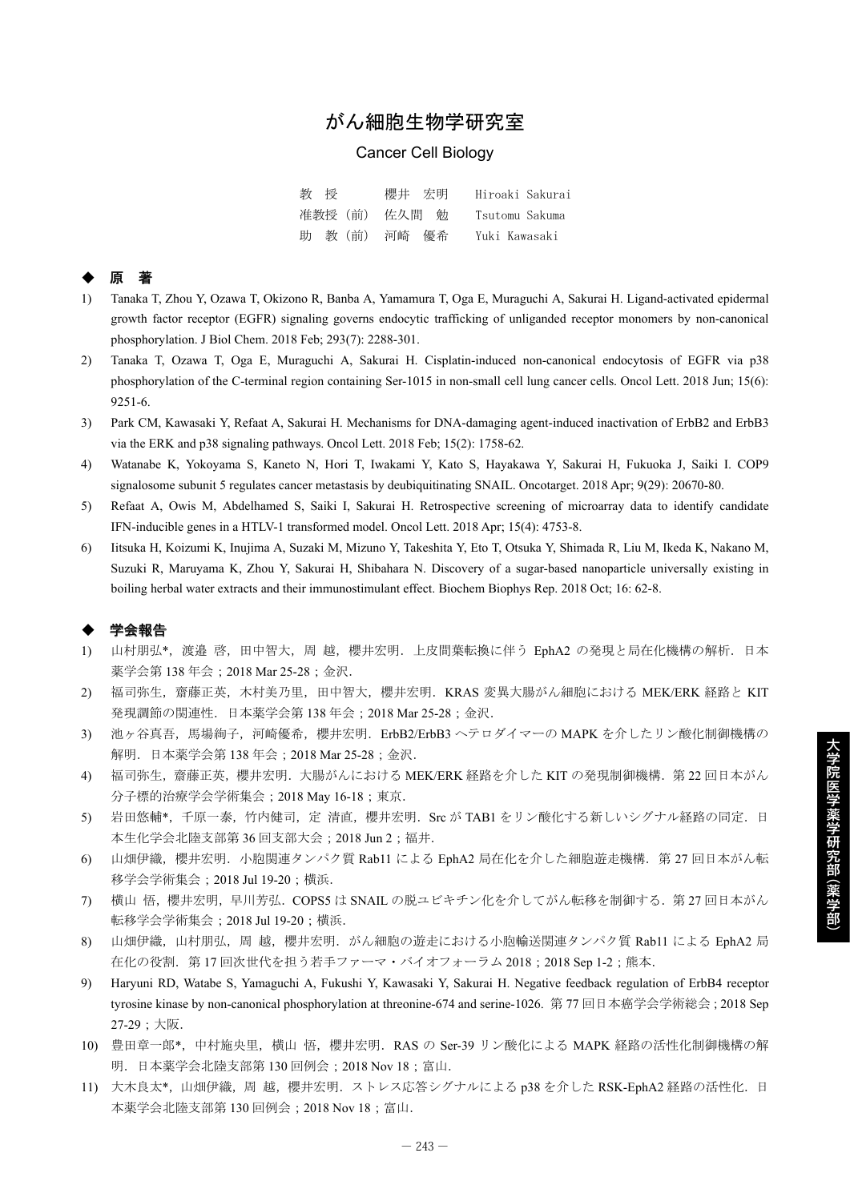# がん細胞生物学研究室

## Cancer Cell Biology

| 教授            | 櫻井 宏明 | Hiroaki Sakurai |
|---------------|-------|-----------------|
| 准教授(前) 佐久間 勉  |       | Tsutomu Sakuma  |
| 助 教 (前) 河崎 優希 |       | Yuki Kawasaki   |

## ◆ 原 著

- 1) Tanaka T, Zhou Y, Ozawa T, Okizono R, Banba A, Yamamura T, Oga E, Muraguchi A, Sakurai H. Ligand-activated epidermal growth factor receptor (EGFR) signaling governs endocytic trafficking of unliganded receptor monomers by non-canonical phosphorylation. J Biol Chem. 2018 Feb; 293(7): 2288-301.
- 2) Tanaka T, Ozawa T, Oga E, Muraguchi A, Sakurai H. Cisplatin-induced non-canonical endocytosis of EGFR via p38 phosphorylation of the C-terminal region containing Ser-1015 in non-small cell lung cancer cells. Oncol Lett. 2018 Jun; 15(6): 9251-6.
- 3) Park CM, Kawasaki Y, Refaat A, Sakurai H. Mechanisms for DNA-damaging agent-induced inactivation of ErbB2 and ErbB3 via the ERK and p38 signaling pathways. Oncol Lett. 2018 Feb; 15(2): 1758-62.
- 4) Watanabe K, Yokoyama S, Kaneto N, Hori T, Iwakami Y, Kato S, Hayakawa Y, Sakurai H, Fukuoka J, Saiki I. COP9 signalosome subunit 5 regulates cancer metastasis by deubiquitinating SNAIL. Oncotarget. 2018 Apr; 9(29): 20670-80.
- 5) Refaat A, Owis M, Abdelhamed S, Saiki I, Sakurai H. Retrospective screening of microarray data to identify candidate IFN-inducible genes in a HTLV-1 transformed model. Oncol Lett. 2018 Apr; 15(4): 4753-8.
- 6) Iitsuka H, Koizumi K, Inujima A, Suzaki M, Mizuno Y, Takeshita Y, Eto T, Otsuka Y, Shimada R, Liu M, Ikeda K, Nakano M, Suzuki R, Maruyama K, Zhou Y, Sakurai H, Shibahara N. Discovery of a sugar-based nanoparticle universally existing in boiling herbal water extracts and their immunostimulant effect. Biochem Biophys Rep. 2018 Oct; 16: 62-8.

### 学会報告

- 1) 山村朋弘\*,渡邉 啓,田中智大,周 越,櫻井宏明.上皮間葉転換に伴う EphA2 の発現と局在化機構の解析.日本 薬学会第 138 年会;2018 Mar 25-28;金沢.
- 2) 福司弥生,齋藤正英,木村美乃里,田中智大,櫻井宏明.KRAS 変異大腸がん細胞における MEK/ERK 経路と KIT 発現調節の関連性.日本薬学会第 138 年会;2018 Mar 25-28;金沢.
- 3) 池ヶ谷真吾,馬場絢子,河崎優希,櫻井宏明. ErbB2/ErbB3 ヘテロダイマーの MAPK を介したリン酸化制御機構の 解明.日本薬学会第 138 年会;2018 Mar 25-28;金沢.
- 4) 福司弥生,齋藤正英,櫻井宏明.大腸がんにおける MEK/ERK 経路を介した KIT の発現制御機構.第 22 回日本がん 分子標的治療学会学術集会;2018 May 16-18;東京.
- 5) 岩田悠輔\*,千原一泰,竹内健司,定清直,櫻井宏明. Src が TAB1 をリン酸化する新しいシグナル経路の同定. 日 本生化学会北陸支部第 36 回支部大会;2018 Jun 2;福井.
- 6) 山畑伊織,櫻井宏明. 小胞関連タンパク質 Rab11 による EphA2 局在化を介した細胞遊走機構. 第 27 回日本がん転 移学会学術集会;2018 Jul 19-20;横浜.
- 7) 横山悟,櫻井宏明,早川芳弘. COPS5 は SNAIL の脱ユビキチン化を介してがん転移を制御する. 第27回日本がん 転移学会学術集会;2018 Jul 19-20;横浜.
- 8) 山畑伊織,山村朋弘,周越,櫻井宏明.がん細胞の遊走における小胞輸送関連タンパク質 Rab11 による EphA2 局 在化の役割. 第17回次世代を担う若手ファーマ・バイオフォーラム 2018;2018 Sep 1-2;熊本.
- 9) Haryuni RD, Watabe S, Yamaguchi A, Fukushi Y, Kawasaki Y, Sakurai H. Negative feedback regulation of ErbB4 receptor tyrosine kinase by non-canonical phosphorylation at threonine-674 and serine-1026. 第 77 回日本癌学会学術総会;2018 Sep 27-29;大阪.
- 10) 豊田章一郎\*, 中村施央里,横山悟, 櫻井宏明. RAS の Ser-39 リン酸化による MAPK 経路の活性化制御機構の解 明. 日本薬学会北陸支部第 130 回例会; 2018 Nov 18; 富山.
- 11) 大木良太\*, 山畑伊織, 周越, 櫻井宏明. ストレス応答シグナルによる p38 を介した RSK-EphA2 経路の活性化. 日 本薬学会北陸支部第 130 回例会;2018 Nov 18;富山.